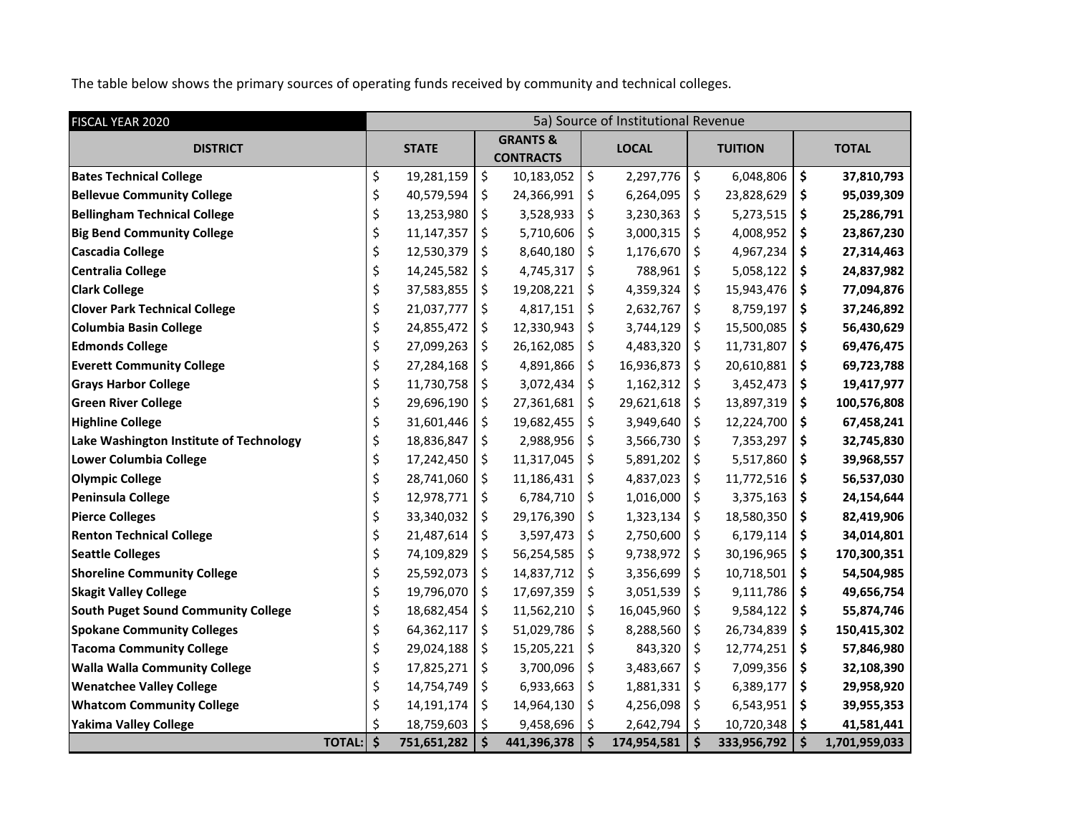The table below shows the primary sources of operating funds received by community and technical colleges.

| FISCAL YEAR 2020                        | 5a) Source of Institutional Revenue |              |                                         |             |    |              |    |                |    |               |  |  |  |
|-----------------------------------------|-------------------------------------|--------------|-----------------------------------------|-------------|----|--------------|----|----------------|----|---------------|--|--|--|
| <b>DISTRICT</b>                         |                                     | <b>STATE</b> | <b>GRANTS &amp;</b><br><b>CONTRACTS</b> |             |    | <b>LOCAL</b> |    | <b>TUITION</b> |    | <b>TOTAL</b>  |  |  |  |
| <b>Bates Technical College</b>          | \$                                  | 19,281,159   | \$                                      | 10,183,052  | \$ | 2,297,776    | \$ | 6,048,806      | \$ | 37,810,793    |  |  |  |
| <b>Bellevue Community College</b>       | \$                                  | 40,579,594   | \$                                      | 24,366,991  | \$ | 6,264,095    | \$ | 23,828,629     | \$ | 95,039,309    |  |  |  |
| <b>Bellingham Technical College</b>     | \$                                  | 13,253,980   | \$                                      | 3,528,933   | \$ | 3,230,363    | \$ | 5,273,515      | \$ | 25,286,791    |  |  |  |
| <b>Big Bend Community College</b>       | \$                                  | 11,147,357   | \$                                      | 5,710,606   | \$ | 3,000,315    | \$ | 4,008,952      | \$ | 23,867,230    |  |  |  |
| <b>Cascadia College</b>                 | \$                                  | 12,530,379   | \$                                      | 8,640,180   | \$ | 1,176,670    | \$ | 4,967,234      | \$ | 27,314,463    |  |  |  |
| Centralia College                       | \$                                  | 14,245,582   | \$                                      | 4,745,317   | \$ | 788,961      | \$ | 5,058,122      | \$ | 24,837,982    |  |  |  |
| <b>Clark College</b>                    | \$                                  | 37,583,855   | \$                                      | 19,208,221  | \$ | 4,359,324    | \$ | 15,943,476     | \$ | 77,094,876    |  |  |  |
| <b>Clover Park Technical College</b>    | \$                                  | 21,037,777   | \$                                      | 4,817,151   | \$ | 2,632,767    | \$ | 8,759,197      | \$ | 37,246,892    |  |  |  |
| <b>Columbia Basin College</b>           | \$                                  | 24,855,472   | \$                                      | 12,330,943  | \$ | 3,744,129    | \$ | 15,500,085     | \$ | 56,430,629    |  |  |  |
| <b>Edmonds College</b>                  | \$                                  | 27,099,263   | \$                                      | 26,162,085  | \$ | 4,483,320    | \$ | 11,731,807     | \$ | 69,476,475    |  |  |  |
| <b>Everett Community College</b>        | \$                                  | 27,284,168   | \$                                      | 4,891,866   | \$ | 16,936,873   | \$ | 20,610,881     | \$ | 69,723,788    |  |  |  |
| <b>Grays Harbor College</b>             | \$                                  | 11,730,758   | \$                                      | 3,072,434   | \$ | 1,162,312    | \$ | 3,452,473      | \$ | 19,417,977    |  |  |  |
| <b>Green River College</b>              | \$                                  | 29,696,190   | \$                                      | 27,361,681  | \$ | 29,621,618   | \$ | 13,897,319     | \$ | 100,576,808   |  |  |  |
| <b>Highline College</b>                 | \$                                  | 31,601,446   | \$                                      | 19,682,455  | \$ | 3,949,640    | \$ | 12,224,700     | \$ | 67,458,241    |  |  |  |
| Lake Washington Institute of Technology | \$                                  | 18,836,847   | \$                                      | 2,988,956   | \$ | 3,566,730    | \$ | 7,353,297      | \$ | 32,745,830    |  |  |  |
| Lower Columbia College                  | \$                                  | 17,242,450   | \$                                      | 11,317,045  | \$ | 5,891,202    | \$ | 5,517,860      | \$ | 39,968,557    |  |  |  |
| <b>Olympic College</b>                  | \$                                  | 28,741,060   | \$                                      | 11,186,431  | \$ | 4,837,023    | \$ | 11,772,516     | \$ | 56,537,030    |  |  |  |
| Peninsula College                       | \$                                  | 12,978,771   | \$                                      | 6,784,710   | \$ | 1,016,000    | \$ | 3,375,163      | \$ | 24,154,644    |  |  |  |
| <b>Pierce Colleges</b>                  | \$                                  | 33,340,032   | \$                                      | 29,176,390  | \$ | 1,323,134    | \$ | 18,580,350     | \$ | 82,419,906    |  |  |  |
| <b>Renton Technical College</b>         | \$                                  | 21,487,614   | \$                                      | 3,597,473   | \$ | 2,750,600    | \$ | 6,179,114      | \$ | 34,014,801    |  |  |  |
| <b>Seattle Colleges</b>                 | \$                                  | 74,109,829   | \$                                      | 56,254,585  | \$ | 9,738,972    | \$ | 30,196,965     | \$ | 170,300,351   |  |  |  |
| <b>Shoreline Community College</b>      | \$                                  | 25,592,073   | \$                                      | 14,837,712  | \$ | 3,356,699    | \$ | 10,718,501     | \$ | 54,504,985    |  |  |  |
| <b>Skagit Valley College</b>            | \$                                  | 19,796,070   | \$                                      | 17,697,359  | \$ | 3,051,539    | \$ | 9,111,786      | \$ | 49,656,754    |  |  |  |
| South Puget Sound Community College     | \$                                  | 18,682,454   | \$                                      | 11,562,210  | \$ | 16,045,960   | \$ | 9,584,122      | \$ | 55,874,746    |  |  |  |
| <b>Spokane Community Colleges</b>       | \$                                  | 64,362,117   | \$                                      | 51,029,786  | \$ | 8,288,560    | \$ | 26,734,839     | \$ | 150,415,302   |  |  |  |
| <b>Tacoma Community College</b>         | \$                                  | 29,024,188   | \$                                      | 15,205,221  | \$ | 843,320      | \$ | 12,774,251     | \$ | 57,846,980    |  |  |  |
| <b>Walla Walla Community College</b>    | \$                                  | 17,825,271   | \$                                      | 3,700,096   | \$ | 3,483,667    | \$ | 7,099,356      | \$ | 32,108,390    |  |  |  |
| <b>Wenatchee Valley College</b>         | \$                                  | 14,754,749   | \$                                      | 6,933,663   | \$ | 1,881,331    | \$ | 6,389,177      | \$ | 29,958,920    |  |  |  |
| <b>Whatcom Community College</b>        | \$                                  | 14,191,174   | \$                                      | 14,964,130  | \$ | 4,256,098    | \$ | 6,543,951      | \$ | 39,955,353    |  |  |  |
| Yakima Valley College                   | \$                                  | 18,759,603   | \$                                      | 9,458,696   | \$ | 2,642,794    | \$ | 10,720,348     | \$ | 41,581,441    |  |  |  |
| TOTAL: \$                               |                                     | 751,651,282  | \$                                      | 441,396,378 | \$ | 174,954,581  | \$ | 333,956,792    | \$ | 1,701,959,033 |  |  |  |